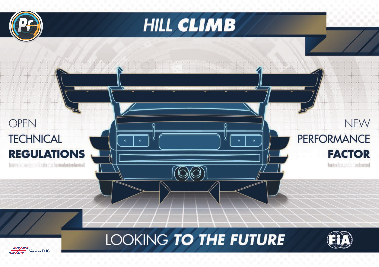



# **OPEN TECHNICAL REGULATIONS**



LOOKING TO THE FUTURE



# **NEW PERFORMANCE FACTOR**

Touton Ductor Contact Touton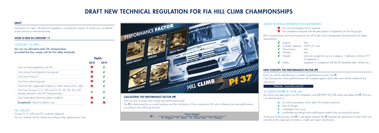## DRAFT

Introduction of "open" FIA technical regulations, including the majority of closed cars, as defined at the national or international level.

## WHAT IS NEW IN CATEGORY 1?

## CATEGORY 1 IS OPEN

ALL cars are allowed to enter FIA championships (provided that they comply with the FIA safety standards).

Groups N, A, S20 and GT would be replaced. ALL cars entered will be ranked according to their performance class.



|                                                                                                     | 2018 | 2019 |
|-----------------------------------------------------------------------------------------------------|------|------|
| Cars not homologated by the FIA                                                                     |      |      |
| Cars whose homologation has expired                                                                 |      |      |
| Cars from Group E1                                                                                  |      |      |
| Cars from national groups                                                                           |      |      |
| Cars from the single-make Trophies or other series (circuit, rally)                                 |      |      |
| Cars from Groups N, A, S20 and GT, R1, R2, R3, R4 or R5<br>already allowed in the FIA Championships |      |      |
| Cars listed above that have been modified                                                           |      |      |
| <b>Exception(s):</b> Hybrid or electric cars                                                        |      |      |
|                                                                                                     |      |      |

- $\blacktriangleright$  No compliance required with the prescriptions of Appendix | for the FIA groups.
- BUT a shared basic technical framework for hill climbs which standardises the technical and safety

# requirements:  $\sqrt{F}$  Fng

"Race Weight" Pc "Engine" \* Pc "Aero" \* Pc "Drive Train" \* Pc "Chassis"  $Pf =$ 

### NO "GROUP"

TO OBTAIN THE **Pf** OF YOUR CAR Car identification is:



## DRAFT NEW TECHNICAL REGULATION FOR FIA HILL CLIMB CHAMPIONSHIPS

## LIMITED TECHNICAL REFERENCE DOCUMENTATION

<sup>\*</sup> No car homologation form required.

At the end of the process, the Pf is calculated instantly. The Pf indicates the performance level of the car and allows the organisers to make a simple and rapid classification.

| $\sqrt{\phantom{a}}$ Engine:                                      | tree                                                                        |
|-------------------------------------------------------------------|-----------------------------------------------------------------------------|
| $\sqrt{\phantom{a}}$ Cylinder capacity: 6500 cm <sup>3</sup> max. |                                                                             |
| $\sqrt{\phantom{a}}$ Transmission:                                | free                                                                        |
| V Wheels:                                                         | tree                                                                        |
| $V$ Weight:                                                       | minimum weight for cars in Category 1 defined in Article 277<br>of Appendix |
| $\sqrt{\phantom{a}}$ Safety:                                      | equipment in compliance with the FIA standards (seat, roll bar, etc.)       |

## NEW CONCEPT: THE PERFORMANCE FACTOR (**Pf**)

Each car will be identified by a number of performance points: the Pf. Cars that possess similar performances will compete against each other and will be ranked at the same level.

## Website : www.fia.com/pf

Any driver who takes part in an FIA competition must IDENTIFY HIS CAR online and obtain the Pf of his car.

 $\triangleright$  an online procedure which takes 30 minutes maximum,

- $\blacktriangleright$  free of charge,
- $\blacktriangleright$  undertaken only once,

ighthrow modifiable according to the modifications made to the car during the season.

## *CALCULATING THE PERFORMANCE FACTOR (Pf)*

*Each car has a unique race weight and performance level.* 

*The Pf is determined by an overall analysis and the calculation of five components (Pc) which influence the race performance according to the following formula:*